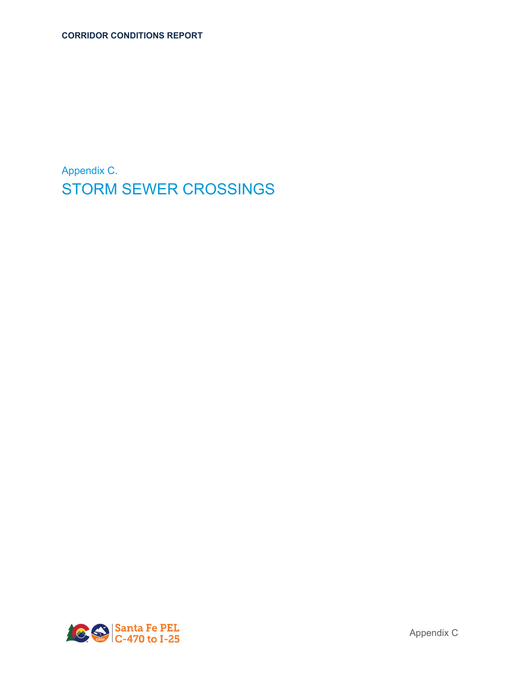Appendix C. STORM SEWER CROSSINGS